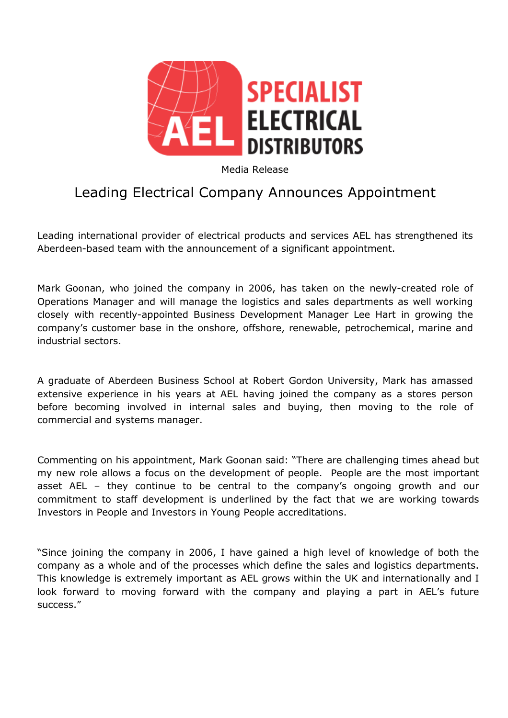

Media Release

## Leading Electrical Company Announces Appointment

Leading international provider of electrical products and services AEL has strengthened its Aberdeen-based team with the announcement of a significant appointment.

Mark Goonan, who joined the company in 2006, has taken on the newly-created role of Operations Manager and will manage the logistics and sales departments as well working closely with recently-appointed Business Development Manager Lee Hart in growing the company's customer base in the onshore, offshore, renewable, petrochemical, marine and industrial sectors.

A graduate of Aberdeen Business School at Robert Gordon University, Mark has amassed extensive experience in his years at AEL having joined the company as a stores person before becoming involved in internal sales and buying, then moving to the role of commercial and systems manager.

Commenting on his appointment, Mark Goonan said: "There are challenging times ahead but my new role allows a focus on the development of people. People are the most important asset AEL – they continue to be central to the company's ongoing growth and our commitment to staff development is underlined by the fact that we are working towards Investors in People and Investors in Young People accreditations.

"Since joining the company in 2006, I have gained a high level of knowledge of both the company as a whole and of the processes which define the sales and logistics departments. This knowledge is extremely important as AEL grows within the UK and internationally and I look forward to moving forward with the company and playing a part in AEL's future success."